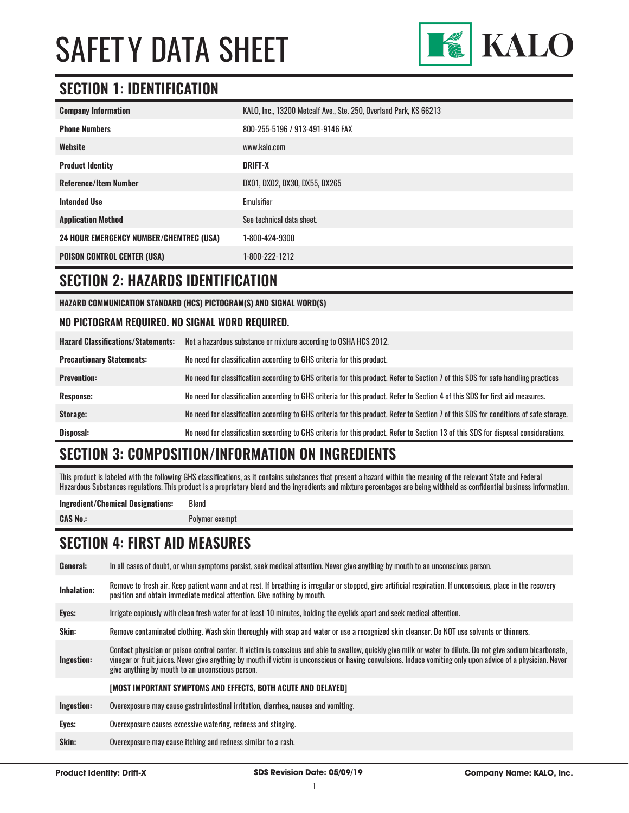

# **SECTION 1: IDENTIFICATION**

| <b>Company Information</b>                     | KALO, Inc., 13200 Metcalf Ave., Ste. 250, Overland Park, KS 66213 |
|------------------------------------------------|-------------------------------------------------------------------|
| <b>Phone Numbers</b>                           | 800-255-5196 / 913-491-9146 FAX                                   |
| Website                                        | www.kalo.com                                                      |
| <b>Product Identity</b>                        | <b>DRIFT-X</b>                                                    |
| <b>Reference/Item Number</b>                   | DX01, DX02, DX30, DX55, DX265                                     |
| <b>Intended Use</b>                            | Emulsifier                                                        |
| <b>Application Method</b>                      | See technical data sheet.                                         |
| <b>24 HOUR EMERGENCY NUMBER/CHEMTREC (USA)</b> | 1-800-424-9300                                                    |
| <b>POISON CONTROL CENTER (USA)</b>             | 1-800-222-1212                                                    |

#### **SECTION 2: HAZARDS IDENTIFICATION**

**HAZARD COMMUNICATION STANDARD (HCS) PICTOGRAM(S) AND SIGNAL WORD(S)**

#### **NO PICTOGRAM REQUIRED. NO SIGNAL WORD REQUIRED.**

| <b>Hazard Classifications/Statements:</b> | Not a hazardous substance or mixture according to OSHA HCS 2012.                                                                      |
|-------------------------------------------|---------------------------------------------------------------------------------------------------------------------------------------|
| <b>Precautionary Statements:</b>          | No need for classification according to GHS criteria for this product.                                                                |
| <b>Prevention:</b>                        | No need for classification according to GHS criteria for this product. Refer to Section 7 of this SDS for safe handling practices     |
| <b>Response:</b>                          | No need for classification according to GHS criteria for this product. Refer to Section 4 of this SDS for first aid measures.         |
| Storage:                                  | No need for classification according to GHS criteria for this product. Refer to Section 7 of this SDS for conditions of safe storage. |
| Disposal:                                 | No need for classification according to GHS criteria for this product. Refer to Section 13 of this SDS for disposal considerations.   |

# **SECTION 3: COMPOSITION/INFORMATION ON INGREDIENTS**

This product is labeled with the following GHS classifications, as it contains substances that present a hazard within the meaning of the relevant State and Federal Hazardous Substances regulations. This product is a proprietary blend and the ingredients and mixture percentages are being withheld as confidential business information.

#### **Ingredient/Chemical Designations:** Blend

**CAS No.:** Polymer exempt

## **SECTION 4: FIRST AID MEASURES**

| General:           | In all cases of doubt, or when symptoms persist, seek medical attention. Never give anything by mouth to an unconscious person.                                                                                                                                                                                                                                                   |
|--------------------|-----------------------------------------------------------------------------------------------------------------------------------------------------------------------------------------------------------------------------------------------------------------------------------------------------------------------------------------------------------------------------------|
| <b>Inhalation:</b> | Remove to fresh air. Keep patient warm and at rest. If breathing is irregular or stopped, give artificial respiration. If unconscious, place in the recovery<br>position and obtain immediate medical attention. Give nothing by mouth.                                                                                                                                           |
| Eyes:              | Irrigate copiously with clean fresh water for at least 10 minutes, holding the eyelids apart and seek medical attention.                                                                                                                                                                                                                                                          |
| Skin:              | Remove contaminated clothing. Wash skin thoroughly with soap and water or use a recognized skin cleanser. Do NOT use solvents or thinners.                                                                                                                                                                                                                                        |
| Ingestion:         | Contact physician or poison control center. If victim is conscious and able to swallow, quickly give milk or water to dilute. Do not give sodium bicarbonate,<br>vinegar or fruit juices. Never give anything by mouth if victim is unconscious or having convulsions. Induce vomiting only upon advice of a physician. Never<br>give anything by mouth to an unconscious person. |
|                    | [MOST IMPORTANT SYMPTOMS AND EFFECTS, BOTH ACUTE AND DELAYED]                                                                                                                                                                                                                                                                                                                     |
| Ingestion:         | Overexposure may cause gastrointestinal irritation, diarrhea, nausea and vomiting.                                                                                                                                                                                                                                                                                                |
| Eyes:              | Overexposure causes excessive watering, redness and stinging.                                                                                                                                                                                                                                                                                                                     |
| Skin:              | Overexposure may cause itching and redness similar to a rash.                                                                                                                                                                                                                                                                                                                     |
|                    |                                                                                                                                                                                                                                                                                                                                                                                   |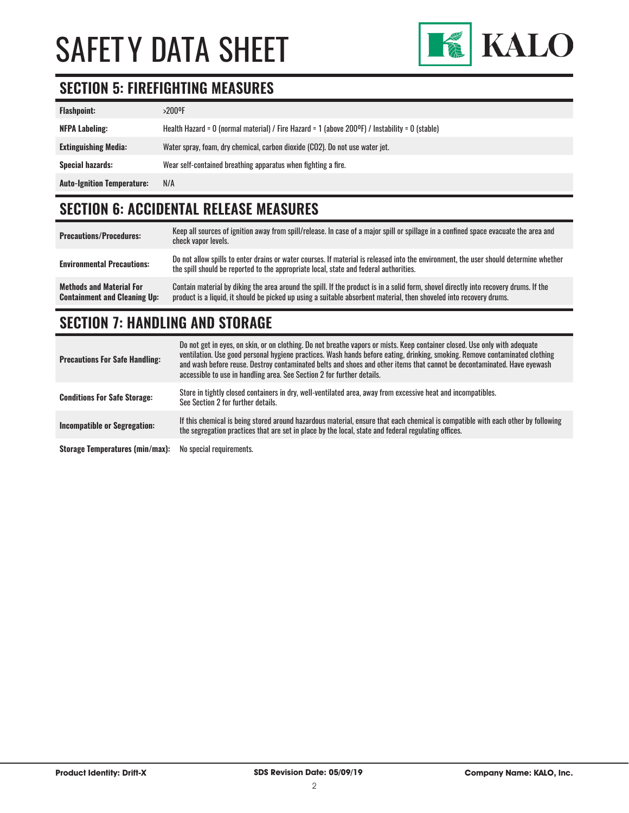# SAFET Y DATA SHEET



# **SECTION 5: FIREFIGHTING MEASURES**

| <b>Flashpoint:</b>                | >200°F                                                                                         |
|-----------------------------------|------------------------------------------------------------------------------------------------|
| <b>NFPA Labeling:</b>             | Health Hazard = 0 (normal material) / Fire Hazard = 1 (above 200°F) / Instability = 0 (stable) |
| <b>Extinguishing Media:</b>       | Water spray, foam, dry chemical, carbon dioxide (CO2). Do not use water jet.                   |
| <b>Special hazards:</b>           | Wear self-contained breathing apparatus when fighting a fire.                                  |
| <b>Auto-Ignition Temperature:</b> | N/A                                                                                            |

# **SECTION 6: ACCIDENTAL RELEASE MEASURES**

| <b>Precautions/Procedures:</b>                                         | Keep all sources of ignition away from spill/release. In case of a major spill or spillage in a confined space evacuate the area and<br>check vapor levels.                                                                                                 |
|------------------------------------------------------------------------|-------------------------------------------------------------------------------------------------------------------------------------------------------------------------------------------------------------------------------------------------------------|
| <b>Environmental Precautions:</b>                                      | Do not allow spills to enter drains or water courses. If material is released into the environment, the user should determine whether<br>the spill should be reported to the appropriate local, state and federal authorities.                              |
| <b>Methods and Material For</b><br><b>Containment and Cleaning Up:</b> | Contain material by diking the area around the spill. If the product is in a solid form, shovel directly into recovery drums. If the<br>product is a liquid, it should be picked up using a suitable absorbent material, then shoveled into recovery drums. |

# **SECTION 7: HANDLING AND STORAGE**

| <b>Precautions For Safe Handling:</b> | Do not get in eyes, on skin, or on clothing. Do not breathe vapors or mists. Keep container closed. Use only with adequate<br>ventilation. Use good personal hygiene practices. Wash hands before eating, drinking, smoking. Remove contaminated clothing<br>and wash before reuse. Destroy contaminated belts and shoes and other items that cannot be decontaminated. Have eyewash<br>accessible to use in handling area. See Section 2 for further details. |
|---------------------------------------|----------------------------------------------------------------------------------------------------------------------------------------------------------------------------------------------------------------------------------------------------------------------------------------------------------------------------------------------------------------------------------------------------------------------------------------------------------------|
| <b>Conditions For Safe Storage:</b>   | Store in tightly closed containers in dry, well-ventilated area, away from excessive heat and incompatibles.<br>See Section 2 for further details.                                                                                                                                                                                                                                                                                                             |
| Incompatible or Segregation:          | If this chemical is being stored around hazardous material, ensure that each chemical is compatible with each other by following<br>the segregation practices that are set in place by the local, state and federal regulating offices.                                                                                                                                                                                                                        |
| Storage Temperatures (min/max):       | No special requirements.                                                                                                                                                                                                                                                                                                                                                                                                                                       |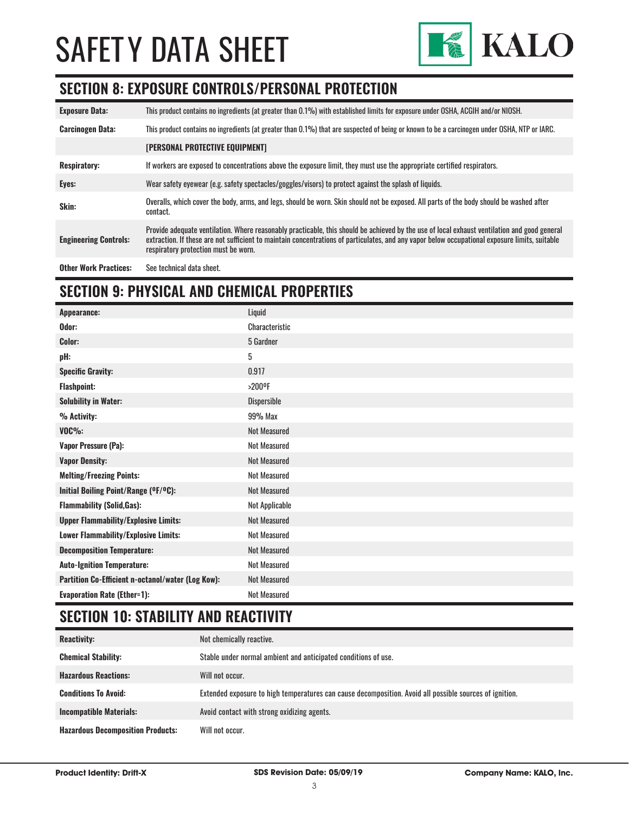# SAFETY DATA SHEET



## **SECTION 8: EXPOSURE CONTROLS/PERSONAL PROTECTION**

| <b>Exposure Data:</b>        | This product contains no ingredients (at greater than 0.1%) with established limits for exposure under OSHA, ACGIH and/or NIOSH.                                                                                                                                                                                                       |
|------------------------------|----------------------------------------------------------------------------------------------------------------------------------------------------------------------------------------------------------------------------------------------------------------------------------------------------------------------------------------|
| <b>Carcinogen Data:</b>      | This product contains no ingredients (at greater than 0.1%) that are suspected of being or known to be a carcinogen under OSHA, NTP or IARC.                                                                                                                                                                                           |
|                              | <b>[PERSONAL PROTECTIVE EQUIPMENT]</b>                                                                                                                                                                                                                                                                                                 |
| <b>Respiratory:</b>          | If workers are exposed to concentrations above the exposure limit, they must use the appropriate certified respirators.                                                                                                                                                                                                                |
| Eyes:                        | Wear safety eyewear (e.g. safety spectacles/goggles/visors) to protect against the splash of liquids.                                                                                                                                                                                                                                  |
| Skin:                        | Overalls, which cover the body, arms, and legs, should be worn. Skin should not be exposed. All parts of the body should be washed after<br>contact.                                                                                                                                                                                   |
| <b>Engineering Controls:</b> | Provide adequate ventilation. Where reasonably practicable, this should be achieved by the use of local exhaust ventilation and good general<br>extraction. If these are not sufficient to maintain concentrations of particulates, and any vapor below occupational exposure limits, suitable<br>respiratory protection must be worn. |
| <b>Other Work Practices:</b> | See technical data sheet.                                                                                                                                                                                                                                                                                                              |

# **SECTION 9: PHYSICAL AND CHEMICAL PROPERTIES**

| <b>Appearance:</b>                                | Liquid                |
|---------------------------------------------------|-----------------------|
| Odor:                                             | <b>Characteristic</b> |
| Color:                                            | 5 Gardner             |
| pH:                                               | 5                     |
| <b>Specific Gravity:</b>                          | 0.917                 |
| <b>Flashpoint:</b>                                | $>200$ <sup>o</sup> F |
| <b>Solubility in Water:</b>                       | <b>Dispersible</b>    |
| % Activity:                                       | 99% Max               |
| $VOC\%$ :                                         | <b>Not Measured</b>   |
| <b>Vapor Pressure (Pa):</b>                       | <b>Not Measured</b>   |
| <b>Vapor Density:</b>                             | <b>Not Measured</b>   |
| <b>Melting/Freezing Points:</b>                   | <b>Not Measured</b>   |
| Initial Boiling Point/Range (°F/°C):              | Not Measured          |
| <b>Flammability (Solid, Gas):</b>                 | Not Applicable        |
| <b>Upper Flammability/Explosive Limits:</b>       | <b>Not Measured</b>   |
| Lower Flammability/Explosive Limits:              | Not Measured          |
| <b>Decomposition Temperature:</b>                 | <b>Not Measured</b>   |
| <b>Auto-Ignition Temperature:</b>                 | Not Measured          |
| Partition Co-Efficient n-octanol/water (Log Kow): | <b>Not Measured</b>   |
| <b>Evaporation Rate (Ether=1):</b>                | <b>Not Measured</b>   |

# **SECTION 10: STABILITY AND REACTIVITY**

| <b>Reactivity:</b>                       | Not chemically reactive.                                                                                |
|------------------------------------------|---------------------------------------------------------------------------------------------------------|
| <b>Chemical Stability:</b>               | Stable under normal ambient and anticipated conditions of use.                                          |
| <b>Hazardous Reactions:</b>              | Will not occur.                                                                                         |
| <b>Conditions To Avoid:</b>              | Extended exposure to high temperatures can cause decomposition. Avoid all possible sources of ignition. |
| <b>Incompatible Materials:</b>           | Avoid contact with strong oxidizing agents.                                                             |
| <b>Hazardous Decomposition Products:</b> | Will not occur.                                                                                         |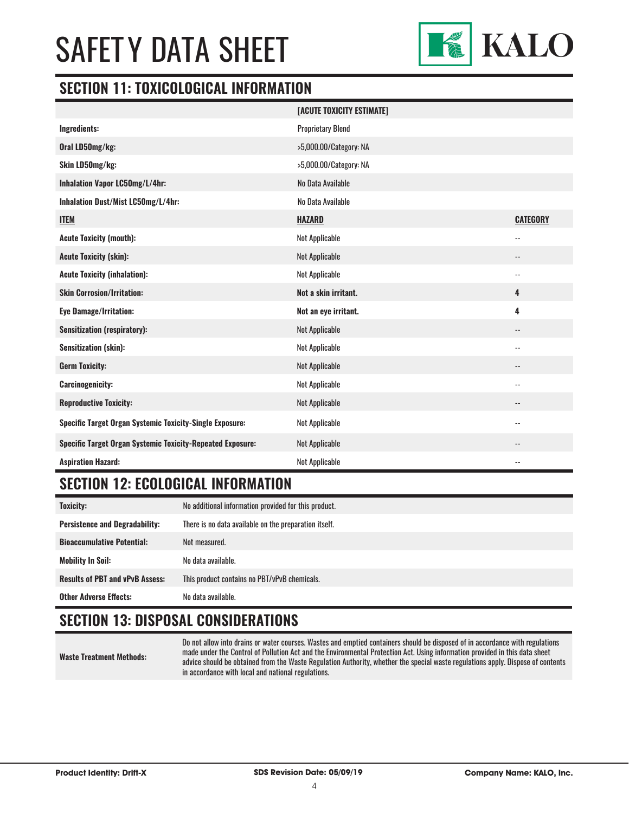# SAFET Y DATA SHEET



#### **SECTION 11: TOXICOLOGICAL INFORMATION**

|                                                                   | [ACUTE TOXICITY ESTIMATE] |                            |
|-------------------------------------------------------------------|---------------------------|----------------------------|
| Ingredients:                                                      | <b>Proprietary Blend</b>  |                            |
| Oral LD50mg/kg:                                                   | >5,000.00/Category: NA    |                            |
| Skin LD50mg/kg:                                                   | >5,000.00/Category: NA    |                            |
| Inhalation Vapor LC50mg/L/4hr:                                    | No Data Available         |                            |
| Inhalation Dust/Mist LC50mg/L/4hr:                                | No Data Available         |                            |
| <b>ITEM</b>                                                       | <b>HAZARD</b>             | <b>CATEGORY</b>            |
| <b>Acute Toxicity (mouth):</b>                                    | Not Applicable            | $\overline{\phantom{a}}$   |
| <b>Acute Toxicity (skin):</b>                                     | Not Applicable            | $\overline{\phantom{a}}$   |
| <b>Acute Toxicity (inhalation):</b>                               | Not Applicable            | $\overline{\phantom{a}}$   |
| <b>Skin Corrosion/Irritation:</b>                                 | Not a skin irritant.      | 4                          |
| <b>Eye Damage/Irritation:</b>                                     | Not an eye irritant.      | 4                          |
| <b>Sensitization (respiratory):</b>                               | Not Applicable            | $\qquad \qquad -$          |
| <b>Sensitization (skin):</b>                                      | Not Applicable            | $\overline{\phantom{a}}$   |
| <b>Germ Toxicity:</b>                                             | Not Applicable            | $\overline{\phantom{a}}$   |
| <b>Carcinogenicity:</b>                                           | Not Applicable            | $\overline{a}$             |
| <b>Reproductive Toxicity:</b>                                     | Not Applicable            | $\overline{\phantom{a}}$   |
| <b>Specific Target Organ Systemic Toxicity-Single Exposure:</b>   | Not Applicable            | $-$                        |
| <b>Specific Target Organ Systemic Toxicity-Repeated Exposure:</b> | Not Applicable            | --                         |
| <b>Aspiration Hazard:</b>                                         | Not Applicable            | $\overline{\phantom{a}}$ . |

## **SECTION 12: ECOLOGICAL INFORMATION**

| Toxicity:                              | No additional information provided for this product.  |
|----------------------------------------|-------------------------------------------------------|
| <b>Persistence and Degradability:</b>  | There is no data available on the preparation itself. |
| <b>Bioaccumulative Potential:</b>      | Not measured.                                         |
| <b>Mobility In Soil:</b>               | No data available.                                    |
| <b>Results of PBT and vPvB Assess:</b> | This product contains no PBT/vPvB chemicals.          |
| <b>Other Adverse Effects:</b>          | No data available.                                    |

## **SECTION 13: DISPOSAL CONSIDERATIONS**

**Waste Treatment Methods:**

Do not allow into drains or water courses. Wastes and emptied containers should be disposed of in accordance with regulations made under the Control of Pollution Act and the Environmental Protection Act. Using information provided in this data sheet advice should be obtained from the Waste Regulation Authority, whether the special waste regulations apply. Dispose of contents in accordance with local and national regulations.